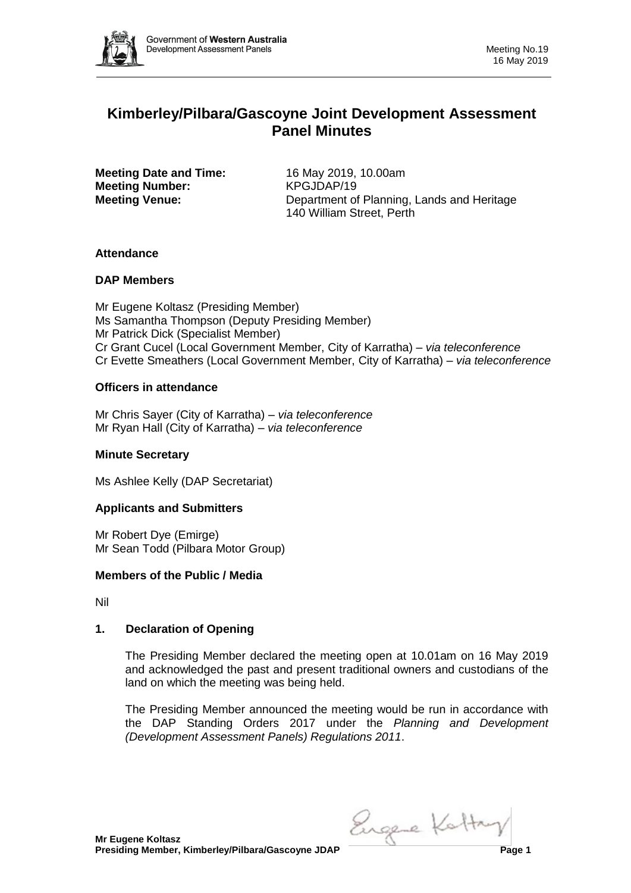

# **Kimberley/Pilbara/Gascoyne Joint Development Assessment Panel Minutes**

**Meeting Date and Time:** 16 May 2019, 10.00am **Meeting Number:** KPGJDAP/19

**Meeting Venue:** Department of Planning, Lands and Heritage 140 William Street, Perth

## **Attendance**

## **DAP Members**

Mr Eugene Koltasz (Presiding Member) Ms Samantha Thompson (Deputy Presiding Member) Mr Patrick Dick (Specialist Member) Cr Grant Cucel (Local Government Member, City of Karratha) – *via teleconference* Cr Evette Smeathers (Local Government Member, City of Karratha) – *via teleconference*

## **Officers in attendance**

Mr Chris Sayer (City of Karratha) – *via teleconference* Mr Ryan Hall (City of Karratha) – *via teleconference*

## **Minute Secretary**

Ms Ashlee Kelly (DAP Secretariat)

## **Applicants and Submitters**

Mr Robert Dye (Emirge) Mr Sean Todd (Pilbara Motor Group)

## **Members of the Public / Media**

Nil

## **1. Declaration of Opening**

The Presiding Member declared the meeting open at 10.01am on 16 May 2019 and acknowledged the past and present traditional owners and custodians of the land on which the meeting was being held.

The Presiding Member announced the meeting would be run in accordance with the DAP Standing Orders 2017 under the *Planning and Development (Development Assessment Panels) Regulations 2011*.

Engere Kottay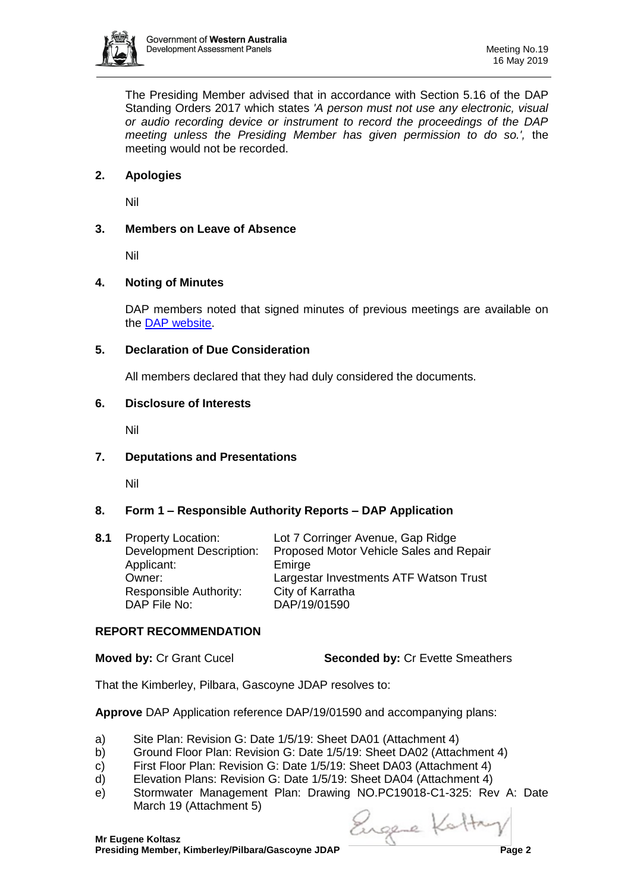

The Presiding Member advised that in accordance with Section 5.16 of the DAP Standing Orders 2017 which states *'A person must not use any electronic, visual or audio recording device or instrument to record the proceedings of the DAP meeting unless the Presiding Member has given permission to do so.',* the meeting would not be recorded.

## **2. Apologies**

Nil

## **3. Members on Leave of Absence**

Nil

## **4. Noting of Minutes**

DAP members noted that signed minutes of previous meetings are available on the [DAP website.](https://www.dplh.wa.gov.au/about/development-assessment-panels/daps-agendas-and-minutes)

## **5. Declaration of Due Consideration**

All members declared that they had duly considered the documents.

### **6. Disclosure of Interests**

Nil

## **7. Deputations and Presentations**

Nil

## **8. Form 1 – Responsible Authority Reports – DAP Application**

| 8.1 | <b>Property Location:</b>       | Lot 7 Corringer Avenue, Gap Ridge       |
|-----|---------------------------------|-----------------------------------------|
|     | <b>Development Description:</b> | Proposed Motor Vehicle Sales and Repair |
|     | Applicant:                      | Emirge                                  |
|     | Owner:                          | Largestar Investments ATF Watson Trust  |
|     | Responsible Authority:          | City of Karratha                        |
|     | DAP File No:                    | DAP/19/01590                            |
|     |                                 |                                         |

#### **REPORT RECOMMENDATION**

**Moved by: Cr Grant Cucel Seconded by: Cr Evette Smeathers** 

That the Kimberley, Pilbara, Gascoyne JDAP resolves to:

**Approve** DAP Application reference DAP/19/01590 and accompanying plans:

- a) Site Plan: Revision G: Date 1/5/19: Sheet DA01 (Attachment 4)
- b) Ground Floor Plan: Revision G: Date 1/5/19: Sheet DA02 (Attachment 4)
- c) First Floor Plan: Revision G: Date 1/5/19: Sheet DA03 (Attachment 4)
- d) Elevation Plans: Revision G: Date 1/5/19: Sheet DA04 (Attachment 4)
- e) Stormwater Management Plan: Drawing NO.PC19018-C1-325: Rev A: Date March 19 (Attachment 5)

Engere Kottay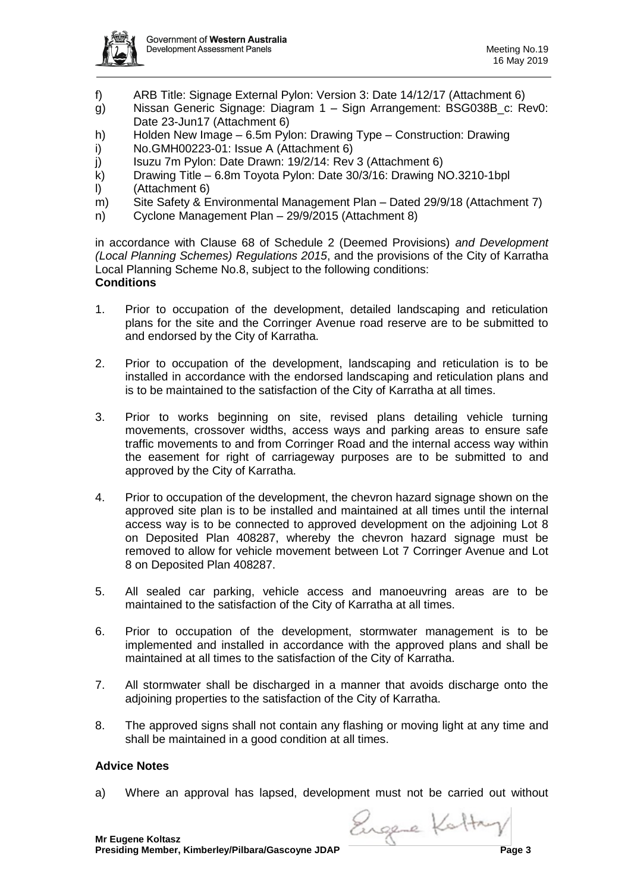

- f) ARB Title: Signage External Pylon: Version 3: Date 14/12/17 (Attachment 6)
- g) Nissan Generic Signage: Diagram 1 Sign Arrangement: BSG038B\_c: Rev0: Date 23-Jun17 (Attachment 6)
- h) Holden New Image 6.5m Pylon: Drawing Type Construction: Drawing
- i) No.GMH00223-01: Issue A (Attachment 6)
- j) Isuzu 7m Pylon: Date Drawn: 19/2/14: Rev 3 (Attachment 6)
- k) Drawing Title 6.8m Toyota Pylon: Date 30/3/16: Drawing NO.3210-1bpl
- l) (Attachment 6)
- m) Site Safety & Environmental Management Plan Dated 29/9/18 (Attachment 7)
- n) Cyclone Management Plan 29/9/2015 (Attachment 8)

in accordance with Clause 68 of Schedule 2 (Deemed Provisions) *and Development (Local Planning Schemes) Regulations 2015*, and the provisions of the City of Karratha Local Planning Scheme No.8, subject to the following conditions: **Conditions**

- 1. Prior to occupation of the development, detailed landscaping and reticulation plans for the site and the Corringer Avenue road reserve are to be submitted to and endorsed by the City of Karratha.
- 2. Prior to occupation of the development, landscaping and reticulation is to be installed in accordance with the endorsed landscaping and reticulation plans and is to be maintained to the satisfaction of the City of Karratha at all times.
- 3. Prior to works beginning on site, revised plans detailing vehicle turning movements, crossover widths, access ways and parking areas to ensure safe traffic movements to and from Corringer Road and the internal access way within the easement for right of carriageway purposes are to be submitted to and approved by the City of Karratha.
- 4. Prior to occupation of the development, the chevron hazard signage shown on the approved site plan is to be installed and maintained at all times until the internal access way is to be connected to approved development on the adjoining Lot 8 on Deposited Plan 408287, whereby the chevron hazard signage must be removed to allow for vehicle movement between Lot 7 Corringer Avenue and Lot 8 on Deposited Plan 408287.
- 5. All sealed car parking, vehicle access and manoeuvring areas are to be maintained to the satisfaction of the City of Karratha at all times.
- 6. Prior to occupation of the development, stormwater management is to be implemented and installed in accordance with the approved plans and shall be maintained at all times to the satisfaction of the City of Karratha.
- 7. All stormwater shall be discharged in a manner that avoids discharge onto the adjoining properties to the satisfaction of the City of Karratha.
- 8. The approved signs shall not contain any flashing or moving light at any time and shall be maintained in a good condition at all times.

#### **Advice Notes**

a) Where an approval has lapsed, development must not be carried out without

**Presiding Member, Kimberley/Pilbara/Gascoyne JDAP Page 3**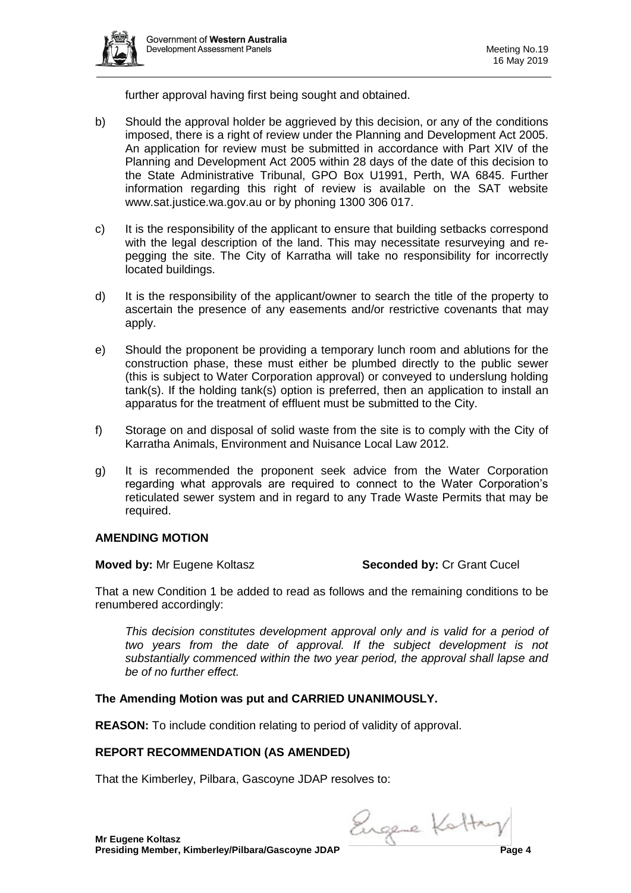

further approval having first being sought and obtained.

- b) Should the approval holder be aggrieved by this decision, or any of the conditions imposed, there is a right of review under the Planning and Development Act 2005. An application for review must be submitted in accordance with Part XIV of the Planning and Development Act 2005 within 28 days of the date of this decision to the State Administrative Tribunal, GPO Box U1991, Perth, WA 6845. Further information regarding this right of review is available on the SAT website www.sat.justice.wa.gov.au or by phoning 1300 306 017.
- c) It is the responsibility of the applicant to ensure that building setbacks correspond with the legal description of the land. This may necessitate resurveying and repegging the site. The City of Karratha will take no responsibility for incorrectly located buildings.
- d) It is the responsibility of the applicant/owner to search the title of the property to ascertain the presence of any easements and/or restrictive covenants that may apply.
- e) Should the proponent be providing a temporary lunch room and ablutions for the construction phase, these must either be plumbed directly to the public sewer (this is subject to Water Corporation approval) or conveyed to underslung holding tank(s). If the holding tank(s) option is preferred, then an application to install an apparatus for the treatment of effluent must be submitted to the City.
- f) Storage on and disposal of solid waste from the site is to comply with the City of Karratha Animals, Environment and Nuisance Local Law 2012.
- g) It is recommended the proponent seek advice from the Water Corporation regarding what approvals are required to connect to the Water Corporation's reticulated sewer system and in regard to any Trade Waste Permits that may be required.

## **AMENDING MOTION**

#### **Moved by:** Mr Eugene Koltasz **Seconded by:** Cr Grant Cucel

That a new Condition 1 be added to read as follows and the remaining conditions to be renumbered accordingly:

*This decision constitutes development approval only and is valid for a period of two years from the date of approval. If the subject development is not substantially commenced within the two year period, the approval shall lapse and be of no further effect.* 

## **The Amending Motion was put and CARRIED UNANIMOUSLY.**

**REASON:** To include condition relating to period of validity of approval.

#### **REPORT RECOMMENDATION (AS AMENDED)**

That the Kimberley, Pilbara, Gascoyne JDAP resolves to:

Engere Kottay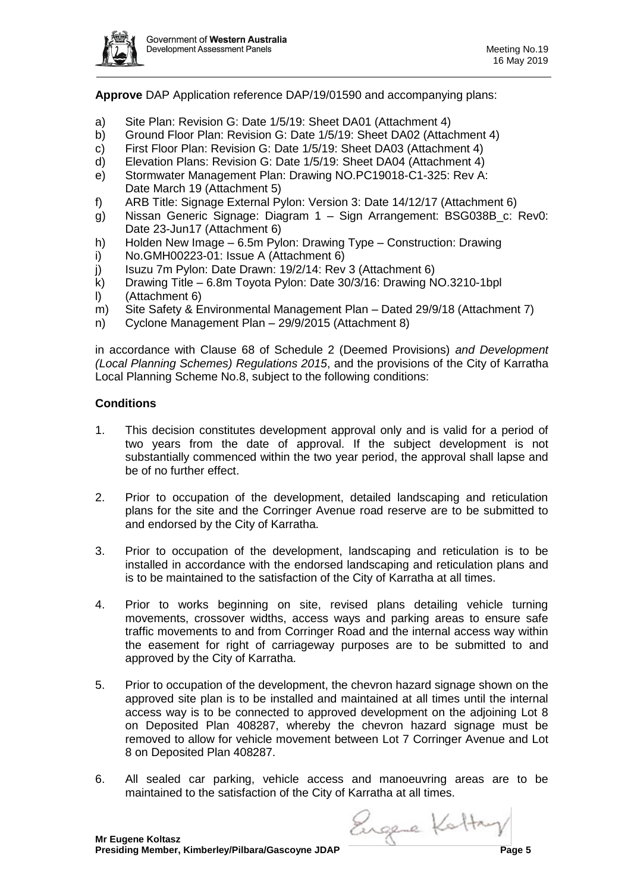

**Approve** DAP Application reference DAP/19/01590 and accompanying plans:

- a) Site Plan: Revision G: Date 1/5/19: Sheet DA01 (Attachment 4)
- b) Ground Floor Plan: Revision G: Date 1/5/19: Sheet DA02 (Attachment 4)
- c) First Floor Plan: Revision G: Date 1/5/19: Sheet DA03 (Attachment 4)
- d) Elevation Plans: Revision G: Date 1/5/19: Sheet DA04 (Attachment 4)
- e) Stormwater Management Plan: Drawing NO.PC19018-C1-325: Rev A: Date March 19 (Attachment 5)
- f) ARB Title: Signage External Pylon: Version 3: Date 14/12/17 (Attachment 6)
- g) Nissan Generic Signage: Diagram 1 Sign Arrangement: BSG038B\_c: Rev0: Date 23-Jun17 (Attachment 6)
- h) Holden New Image 6.5m Pylon: Drawing Type Construction: Drawing
- i) No.GMH00223-01: Issue A (Attachment 6)
- j) Isuzu 7m Pylon: Date Drawn: 19/2/14: Rev 3 (Attachment 6)
- k) Drawing Title 6.8m Toyota Pylon: Date 30/3/16: Drawing NO.3210-1bpl
- l) (Attachment 6)
- m) Site Safety & Environmental Management Plan Dated 29/9/18 (Attachment 7)
- n) Cyclone Management Plan 29/9/2015 (Attachment 8)

in accordance with Clause 68 of Schedule 2 (Deemed Provisions) *and Development (Local Planning Schemes) Regulations 2015*, and the provisions of the City of Karratha Local Planning Scheme No.8, subject to the following conditions:

### **Conditions**

- 1. This decision constitutes development approval only and is valid for a period of two years from the date of approval. If the subject development is not substantially commenced within the two year period, the approval shall lapse and be of no further effect.
- 2. Prior to occupation of the development, detailed landscaping and reticulation plans for the site and the Corringer Avenue road reserve are to be submitted to and endorsed by the City of Karratha.
- 3. Prior to occupation of the development, landscaping and reticulation is to be installed in accordance with the endorsed landscaping and reticulation plans and is to be maintained to the satisfaction of the City of Karratha at all times.
- 4. Prior to works beginning on site, revised plans detailing vehicle turning movements, crossover widths, access ways and parking areas to ensure safe traffic movements to and from Corringer Road and the internal access way within the easement for right of carriageway purposes are to be submitted to and approved by the City of Karratha.
- 5. Prior to occupation of the development, the chevron hazard signage shown on the approved site plan is to be installed and maintained at all times until the internal access way is to be connected to approved development on the adjoining Lot 8 on Deposited Plan 408287, whereby the chevron hazard signage must be removed to allow for vehicle movement between Lot 7 Corringer Avenue and Lot 8 on Deposited Plan 408287.
- 6. All sealed car parking, vehicle access and manoeuvring areas are to be maintained to the satisfaction of the City of Karratha at all times.

**Presiding Member, Kimberley/Pilbara/Gascoyne JDAP Page 5**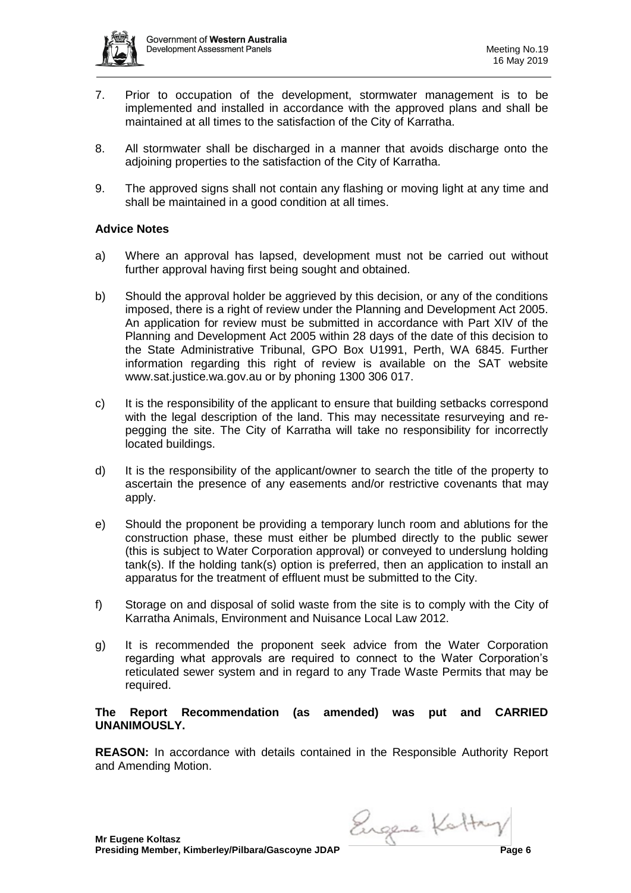

- 7. Prior to occupation of the development, stormwater management is to be implemented and installed in accordance with the approved plans and shall be maintained at all times to the satisfaction of the City of Karratha.
- 8. All stormwater shall be discharged in a manner that avoids discharge onto the adjoining properties to the satisfaction of the City of Karratha.
- 9. The approved signs shall not contain any flashing or moving light at any time and shall be maintained in a good condition at all times.

#### **Advice Notes**

- a) Where an approval has lapsed, development must not be carried out without further approval having first being sought and obtained.
- b) Should the approval holder be aggrieved by this decision, or any of the conditions imposed, there is a right of review under the Planning and Development Act 2005. An application for review must be submitted in accordance with Part XIV of the Planning and Development Act 2005 within 28 days of the date of this decision to the State Administrative Tribunal, GPO Box U1991, Perth, WA 6845. Further information regarding this right of review is available on the SAT website www.sat.justice.wa.gov.au or by phoning 1300 306 017.
- c) It is the responsibility of the applicant to ensure that building setbacks correspond with the legal description of the land. This may necessitate resurveying and repegging the site. The City of Karratha will take no responsibility for incorrectly located buildings.
- d) It is the responsibility of the applicant/owner to search the title of the property to ascertain the presence of any easements and/or restrictive covenants that may apply.
- e) Should the proponent be providing a temporary lunch room and ablutions for the construction phase, these must either be plumbed directly to the public sewer (this is subject to Water Corporation approval) or conveyed to underslung holding tank(s). If the holding tank(s) option is preferred, then an application to install an apparatus for the treatment of effluent must be submitted to the City.
- f) Storage on and disposal of solid waste from the site is to comply with the City of Karratha Animals, Environment and Nuisance Local Law 2012.
- g) It is recommended the proponent seek advice from the Water Corporation regarding what approvals are required to connect to the Water Corporation's reticulated sewer system and in regard to any Trade Waste Permits that may be required.

### **The Report Recommendation (as amended) was put and CARRIED UNANIMOUSLY.**

**REASON:** In accordance with details contained in the Responsible Authority Report and Amending Motion.

Engere Kottay